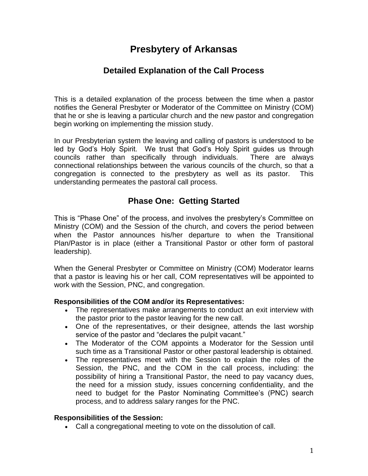# **Presbytery of Arkansas**

# **Detailed Explanation of the Call Process**

This is a detailed explanation of the process between the time when a pastor notifies the General Presbyter or Moderator of the Committee on Ministry (COM) that he or she is leaving a particular church and the new pastor and congregation begin working on implementing the mission study.

In our Presbyterian system the leaving and calling of pastors is understood to be led by God's Holy Spirit. We trust that God's Holy Spirit guides us through councils rather than specifically through individuals. There are always connectional relationships between the various councils of the church, so that a congregation is connected to the presbytery as well as its pastor. This understanding permeates the pastoral call process.

# **Phase One: Getting Started**

This is "Phase One" of the process, and involves the presbytery's Committee on Ministry (COM) and the Session of the church, and covers the period between when the Pastor announces his/her departure to when the Transitional Plan/Pastor is in place (either a Transitional Pastor or other form of pastoral leadership).

When the General Presbyter or Committee on Ministry (COM) Moderator learns that a pastor is leaving his or her call, COM representatives will be appointed to work with the Session, PNC, and congregation.

## **Responsibilities of the COM and/or its Representatives:**

- The representatives make arrangements to conduct an exit interview with the pastor prior to the pastor leaving for the new call.
- One of the representatives, or their designee, attends the last worship service of the pastor and "declares the pulpit vacant."
- The Moderator of the COM appoints a Moderator for the Session until such time as a Transitional Pastor or other pastoral leadership is obtained.
- The representatives meet with the Session to explain the roles of the Session, the PNC, and the COM in the call process, including: the possibility of hiring a Transitional Pastor, the need to pay vacancy dues, the need for a mission study, issues concerning confidentiality, and the need to budget for the Pastor Nominating Committee's (PNC) search process, and to address salary ranges for the PNC.

### **Responsibilities of the Session:**

• Call a congregational meeting to vote on the dissolution of call.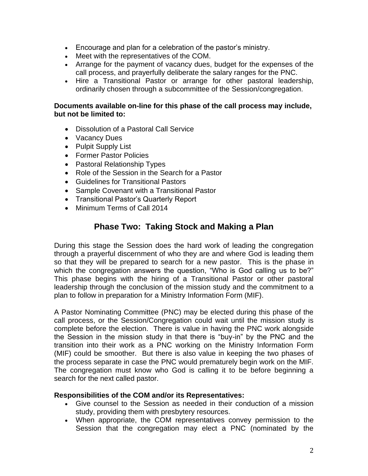- Encourage and plan for a celebration of the pastor's ministry.
- Meet with the representatives of the COM.
- Arrange for the payment of vacancy dues, budget for the expenses of the call process, and prayerfully deliberate the salary ranges for the PNC.
- Hire a Transitional Pastor or arrange for other pastoral leadership, ordinarily chosen through a subcommittee of the Session/congregation.

### **Documents available on-line for this phase of the call process may include, but not be limited to:**

- Dissolution of a Pastoral Call Service
- Vacancy Dues
- Pulpit Supply List
- Former Pastor Policies
- Pastoral Relationship Types
- Role of the Session in the Search for a Pastor
- Guidelines for Transitional Pastors
- Sample Covenant with a Transitional Pastor
- Transitional Pastor's Quarterly Report
- Minimum Terms of Call 2014

# **Phase Two: Taking Stock and Making a Plan**

During this stage the Session does the hard work of leading the congregation through a prayerful discernment of who they are and where God is leading them so that they will be prepared to search for a new pastor. This is the phase in which the congregation answers the question, "Who is God calling us to be?" This phase begins with the hiring of a Transitional Pastor or other pastoral leadership through the conclusion of the mission study and the commitment to a plan to follow in preparation for a Ministry Information Form (MIF).

A Pastor Nominating Committee (PNC) may be elected during this phase of the call process, or the Session/Congregation could wait until the mission study is complete before the election. There is value in having the PNC work alongside the Session in the mission study in that there is "buy-in" by the PNC and the transition into their work as a PNC working on the Ministry Information Form (MIF) could be smoother. But there is also value in keeping the two phases of the process separate in case the PNC would prematurely begin work on the MIF. The congregation must know who God is calling it to be before beginning a search for the next called pastor.

### **Responsibilities of the COM and/or its Representatives:**

- Give counsel to the Session as needed in their conduction of a mission study, providing them with presbytery resources.
- When appropriate, the COM representatives convey permission to the Session that the congregation may elect a PNC (nominated by the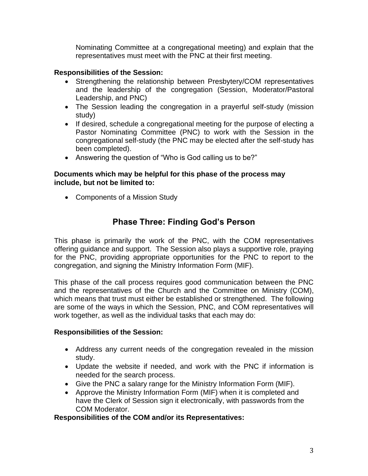Nominating Committee at a congregational meeting) and explain that the representatives must meet with the PNC at their first meeting.

### **Responsibilities of the Session:**

- Strengthening the relationship between Presbytery/COM representatives and the leadership of the congregation (Session, Moderator/Pastoral Leadership, and PNC)
- The Session leading the congregation in a prayerful self-study (mission study)
- If desired, schedule a congregational meeting for the purpose of electing a Pastor Nominating Committee (PNC) to work with the Session in the congregational self-study (the PNC may be elected after the self-study has been completed).
- Answering the question of "Who is God calling us to be?"

### **Documents which may be helpful for this phase of the process may include, but not be limited to:**

• Components of a Mission Study

## **Phase Three: Finding God's Person**

This phase is primarily the work of the PNC, with the COM representatives offering guidance and support. The Session also plays a supportive role, praying for the PNC, providing appropriate opportunities for the PNC to report to the congregation, and signing the Ministry Information Form (MIF).

This phase of the call process requires good communication between the PNC and the representatives of the Church and the Committee on Ministry (COM), which means that trust must either be established or strengthened. The following are some of the ways in which the Session, PNC, and COM representatives will work together, as well as the individual tasks that each may do:

#### **Responsibilities of the Session:**

- Address any current needs of the congregation revealed in the mission study.
- Update the website if needed, and work with the PNC if information is needed for the search process.
- Give the PNC a salary range for the Ministry Information Form (MIF).
- Approve the Ministry Information Form (MIF) when it is completed and have the Clerk of Session sign it electronically, with passwords from the COM Moderator.

#### **Responsibilities of the COM and/or its Representatives:**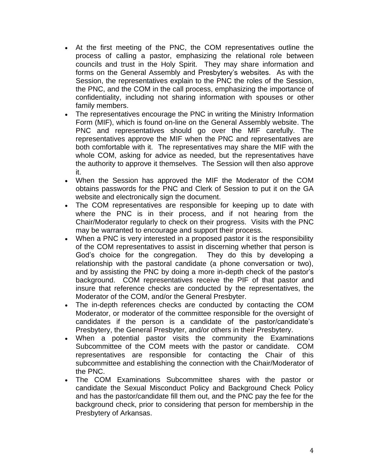- At the first meeting of the PNC, the COM representatives outline the process of calling a pastor, emphasizing the relational role between councils and trust in the Holy Spirit. They may share information and forms on the General Assembly and Presbytery's websites. As with the Session, the representatives explain to the PNC the roles of the Session, the PNC, and the COM in the call process, emphasizing the importance of confidentiality, including not sharing information with spouses or other family members.
- The representatives encourage the PNC in writing the Ministry Information Form (MIF), which is found on-line on the General Assembly website. The PNC and representatives should go over the MIF carefully. The representatives approve the MIF when the PNC and representatives are both comfortable with it. The representatives may share the MIF with the whole COM, asking for advice as needed, but the representatives have the authority to approve it themselves. The Session will then also approve it.
- When the Session has approved the MIF the Moderator of the COM obtains passwords for the PNC and Clerk of Session to put it on the GA website and electronically sign the document.
- The COM representatives are responsible for keeping up to date with where the PNC is in their process, and if not hearing from the Chair/Moderator regularly to check on their progress. Visits with the PNC may be warranted to encourage and support their process.
- When a PNC is very interested in a proposed pastor it is the responsibility of the COM representatives to assist in discerning whether that person is God's choice for the congregation. They do this by developing a relationship with the pastoral candidate (a phone conversation or two), and by assisting the PNC by doing a more in-depth check of the pastor's background. COM representatives receive the PIF of that pastor and insure that reference checks are conducted by the representatives, the Moderator of the COM, and/or the General Presbyter.
- The in-depth references checks are conducted by contacting the COM Moderator, or moderator of the committee responsible for the oversight of candidates if the person is a candidate of the pastor/candidate's Presbytery, the General Presbyter, and/or others in their Presbytery.
- When a potential pastor visits the community the Examinations Subcommittee of the COM meets with the pastor or candidate. COM representatives are responsible for contacting the Chair of this subcommittee and establishing the connection with the Chair/Moderator of the PNC.
- The COM Examinations Subcommittee shares with the pastor or candidate the Sexual Misconduct Policy and Background Check Policy and has the pastor/candidate fill them out, and the PNC pay the fee for the background check, prior to considering that person for membership in the Presbytery of Arkansas.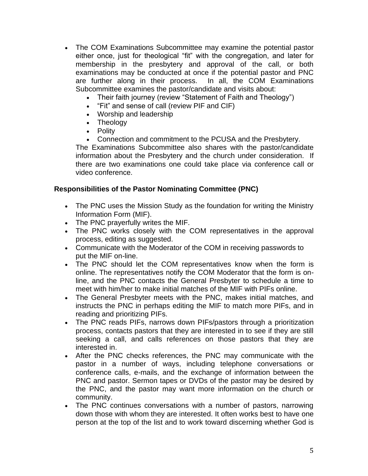- The COM Examinations Subcommittee may examine the potential pastor either once, just for theological "fit" with the congregation, and later for membership in the presbytery and approval of the call, or both examinations may be conducted at once if the potential pastor and PNC are further along in their process. In all, the COM Examinations Subcommittee examines the pastor/candidate and visits about:
	- Their faith journey (review "Statement of Faith and Theology")
	- "Fit" and sense of call (review PIF and CIF)
	- Worship and leadership
	- Theology
	- Polity
	- Connection and commitment to the PCUSA and the Presbytery.

The Examinations Subcommittee also shares with the pastor/candidate information about the Presbytery and the church under consideration. If there are two examinations one could take place via conference call or video conference.

### **Responsibilities of the Pastor Nominating Committee (PNC)**

- The PNC uses the Mission Study as the foundation for writing the Ministry Information Form (MIF).
- The PNC prayerfully writes the MIF.
- The PNC works closely with the COM representatives in the approval process, editing as suggested.
- Communicate with the Moderator of the COM in receiving passwords to put the MIF on-line.
- The PNC should let the COM representatives know when the form is online. The representatives notify the COM Moderator that the form is online, and the PNC contacts the General Presbyter to schedule a time to meet with him/her to make initial matches of the MIF with PIFs online.
- The General Presbyter meets with the PNC, makes initial matches, and instructs the PNC in perhaps editing the MIF to match more PIFs, and in reading and prioritizing PIFs.
- The PNC reads PIFs, narrows down PIFs/pastors through a prioritization process, contacts pastors that they are interested in to see if they are still seeking a call, and calls references on those pastors that they are interested in.
- After the PNC checks references, the PNC may communicate with the pastor in a number of ways, including telephone conversations or conference calls, e-mails, and the exchange of information between the PNC and pastor. Sermon tapes or DVDs of the pastor may be desired by the PNC, and the pastor may want more information on the church or community.
- The PNC continues conversations with a number of pastors, narrowing down those with whom they are interested. It often works best to have one person at the top of the list and to work toward discerning whether God is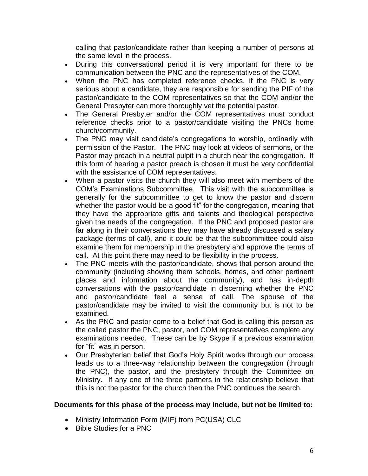calling that pastor/candidate rather than keeping a number of persons at the same level in the process.

- During this conversational period it is very important for there to be communication between the PNC and the representatives of the COM.
- When the PNC has completed reference checks, if the PNC is very serious about a candidate, they are responsible for sending the PIF of the pastor/candidate to the COM representatives so that the COM and/or the General Presbyter can more thoroughly vet the potential pastor.
- The General Presbyter and/or the COM representatives must conduct reference checks prior to a pastor/candidate visiting the PNCs home church/community.
- The PNC may visit candidate's congregations to worship, ordinarily with permission of the Pastor. The PNC may look at videos of sermons, or the Pastor may preach in a neutral pulpit in a church near the congregation. If this form of hearing a pastor preach is chosen it must be very confidential with the assistance of COM representatives.
- When a pastor visits the church they will also meet with members of the COM's Examinations Subcommittee. This visit with the subcommittee is generally for the subcommittee to get to know the pastor and discern whether the pastor would be a good fit" for the congregation, meaning that they have the appropriate gifts and talents and theological perspective given the needs of the congregation. If the PNC and proposed pastor are far along in their conversations they may have already discussed a salary package (terms of call), and it could be that the subcommittee could also examine them for membership in the presbytery and approve the terms of call. At this point there may need to be flexibility in the process.
- The PNC meets with the pastor/candidate, shows that person around the community (including showing them schools, homes, and other pertinent places and information about the community), and has in-depth conversations with the pastor/candidate in discerning whether the PNC and pastor/candidate feel a sense of call. The spouse of the pastor/candidate may be invited to visit the community but is not to be examined.
- As the PNC and pastor come to a belief that God is calling this person as the called pastor the PNC, pastor, and COM representatives complete any examinations needed. These can be by Skype if a previous examination for "fit" was in person.
- Our Presbyterian belief that God's Holy Spirit works through our process leads us to a three-way relationship between the congregation (through the PNC), the pastor, and the presbytery through the Committee on Ministry. If any one of the three partners in the relationship believe that this is not the pastor for the church then the PNC continues the search.

### **Documents for this phase of the process may include, but not be limited to:**

- Ministry Information Form (MIF) from PC(USA) CLC
- Bible Studies for a PNC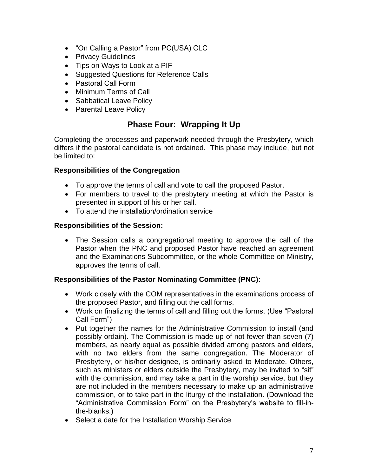- "On Calling a Pastor" from PC(USA) CLC
- Privacy Guidelines
- Tips on Ways to Look at a PIF
- Suggested Questions for Reference Calls
- Pastoral Call Form
- Minimum Terms of Call
- Sabbatical Leave Policy
- Parental Leave Policy

# **Phase Four: Wrapping It Up**

Completing the processes and paperwork needed through the Presbytery, which differs if the pastoral candidate is not ordained. This phase may include, but not be limited to:

## **Responsibilities of the Congregation**

- To approve the terms of call and vote to call the proposed Pastor.
- For members to travel to the presbytery meeting at which the Pastor is presented in support of his or her call.
- To attend the installation/ordination service

## **Responsibilities of the Session:**

• The Session calls a congregational meeting to approve the call of the Pastor when the PNC and proposed Pastor have reached an agreement and the Examinations Subcommittee, or the whole Committee on Ministry, approves the terms of call.

## **Responsibilities of the Pastor Nominating Committee (PNC):**

- Work closely with the COM representatives in the examinations process of the proposed Pastor, and filling out the call forms.
- Work on finalizing the terms of call and filling out the forms. (Use "Pastoral Call Form")
- Put together the names for the Administrative Commission to install (and possibly ordain). The Commission is made up of not fewer than seven (7) members, as nearly equal as possible divided among pastors and elders, with no two elders from the same congregation. The Moderator of Presbytery, or his/her designee, is ordinarily asked to Moderate. Others, such as ministers or elders outside the Presbytery, may be invited to "sit" with the commission, and may take a part in the worship service, but they are not included in the members necessary to make up an administrative commission, or to take part in the liturgy of the installation. (Download the "Administrative Commission Form" on the Presbytery's website to fill-inthe-blanks.)
- Select a date for the Installation Worship Service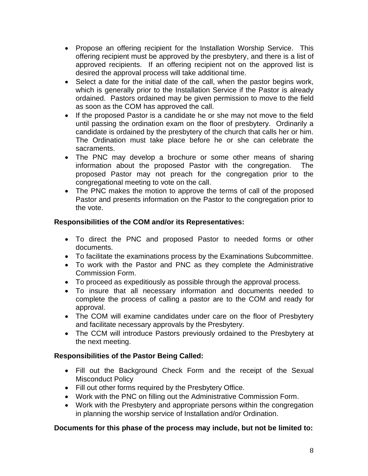- Propose an offering recipient for the Installation Worship Service. This offering recipient must be approved by the presbytery, and there is a list of approved recipients. If an offering recipient not on the approved list is desired the approval process will take additional time.
- Select a date for the initial date of the call, when the pastor begins work, which is generally prior to the Installation Service if the Pastor is already ordained. Pastors ordained may be given permission to move to the field as soon as the COM has approved the call.
- If the proposed Pastor is a candidate he or she may not move to the field until passing the ordination exam on the floor of presbytery. Ordinarily a candidate is ordained by the presbytery of the church that calls her or him. The Ordination must take place before he or she can celebrate the sacraments.
- The PNC may develop a brochure or some other means of sharing information about the proposed Pastor with the congregation. The proposed Pastor may not preach for the congregation prior to the congregational meeting to vote on the call.
- The PNC makes the motion to approve the terms of call of the proposed Pastor and presents information on the Pastor to the congregation prior to the vote.

## **Responsibilities of the COM and/or its Representatives:**

- To direct the PNC and proposed Pastor to needed forms or other documents.
- To facilitate the examinations process by the Examinations Subcommittee.
- To work with the Pastor and PNC as they complete the Administrative Commission Form.
- To proceed as expeditiously as possible through the approval process.
- To insure that all necessary information and documents needed to complete the process of calling a pastor are to the COM and ready for approval.
- The COM will examine candidates under care on the floor of Presbytery and facilitate necessary approvals by the Presbytery.
- The CCM will introduce Pastors previously ordained to the Presbytery at the next meeting.

## **Responsibilities of the Pastor Being Called:**

- Fill out the Background Check Form and the receipt of the Sexual Misconduct Policy
- Fill out other forms required by the Presbytery Office.
- Work with the PNC on filling out the Administrative Commission Form.
- Work with the Presbytery and appropriate persons within the congregation in planning the worship service of Installation and/or Ordination.

## **Documents for this phase of the process may include, but not be limited to:**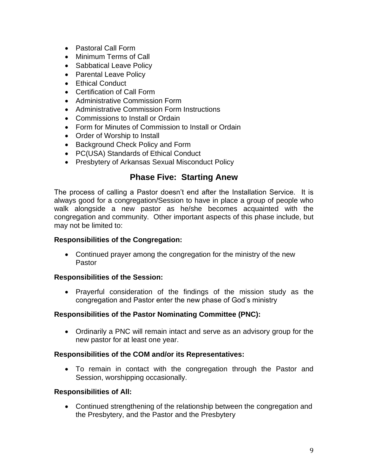- Pastoral Call Form
- Minimum Terms of Call
- Sabbatical Leave Policy
- Parental Leave Policy
- Ethical Conduct
- Certification of Call Form
- Administrative Commission Form
- Administrative Commission Form Instructions
- Commissions to Install or Ordain
- Form for Minutes of Commission to Install or Ordain
- Order of Worship to Install
- Background Check Policy and Form
- PC(USA) Standards of Ethical Conduct
- Presbytery of Arkansas Sexual Misconduct Policy

## **Phase Five: Starting Anew**

The process of calling a Pastor doesn't end after the Installation Service. It is always good for a congregation/Session to have in place a group of people who walk alongside a new pastor as he/she becomes acquainted with the congregation and community. Other important aspects of this phase include, but may not be limited to:

### **Responsibilities of the Congregation:**

• Continued prayer among the congregation for the ministry of the new Pastor

### **Responsibilities of the Session:**

• Prayerful consideration of the findings of the mission study as the congregation and Pastor enter the new phase of God's ministry

### **Responsibilities of the Pastor Nominating Committee (PNC):**

• Ordinarily a PNC will remain intact and serve as an advisory group for the new pastor for at least one year.

### **Responsibilities of the COM and/or its Representatives:**

• To remain in contact with the congregation through the Pastor and Session, worshipping occasionally.

### **Responsibilities of All:**

• Continued strengthening of the relationship between the congregation and the Presbytery, and the Pastor and the Presbytery